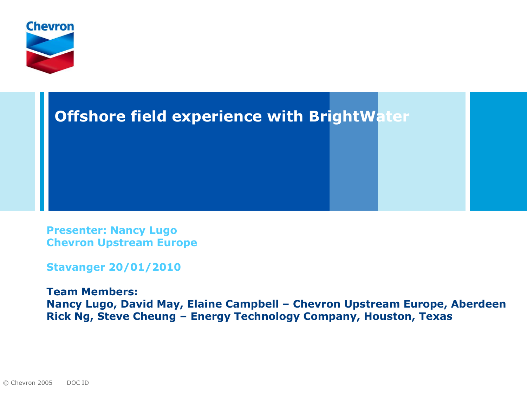



**Presenter: Nancy Lugo Chevron Upstream Europe**

**Stavanger 20/01/2010**

**Team Members: Nancy Lugo, David May, Elaine Campbell – Chevron Upstream Europe, Aberdeen Rick Ng, Steve Cheung – Energy Technology Company, Houston, Texas**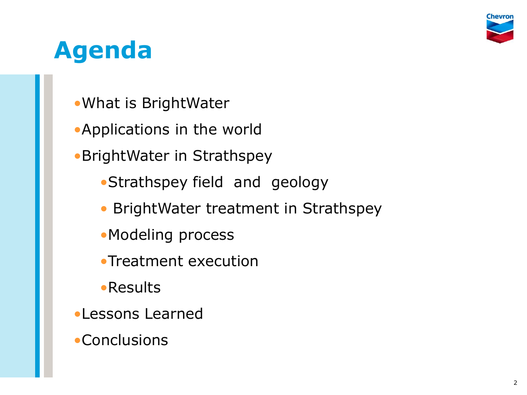

# **Agenda**

- •What is BrightWater
- •Applications in the world
- •BrightWater in Strathspey
	- •Strathspey field and geology
	- BrightWater treatment in Strathspey
	- •Modeling process
	- •Treatment execution
	- •Results
- •Lessons Learned
- **•Conclusions**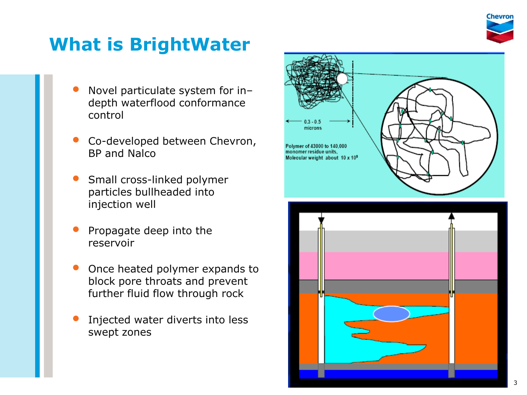

## **What is BrightWater**

- Novel particulate system for in– depth waterflood conformance control
- Co -developed between Chevron, BP and Nalco
- Small cross -linked polymer particles bullheaded into injection well
- Propagate deep into the reservoir
- Once heated polymer expands to block pore throats and prevent further fluid flow through rock
- Injected water diverts into less swept zones



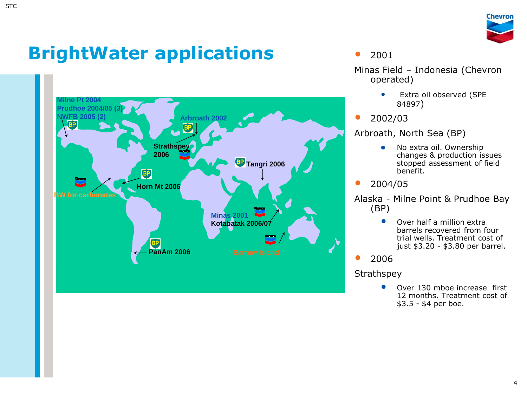

# **BrightWater applications**



#### • <sup>2001</sup>

Minas Field – Indonesia (Chevron operated)

- Extra oil observed (SPE 84897)
- 2002/03

Arbroath, North Sea (BP)

- No extra oil. Ownership changes & production issues stopped assessment of field benefit.
- 2004/05

Alaska - Milne Point & Prudhoe Bay (BP)

> • Over half a million extra barrels recovered from four trial wells. Treatment cost of just \$3.20 - \$3.80 per barrel.

• <sup>2006</sup>

**Strathspey** 

• Over 130 mboe increase first 12 months. Treatment cost of \$3.5 - \$4 per boe.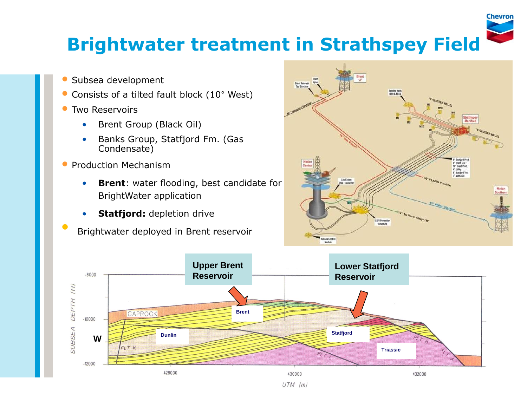

#### **Brightwater treatment in Strathspey Field**

- Subsea development
- Consists of a tilted fault block (10° West)
- **Two Reservoirs** 
	- Brent Group (Black Oil)
	- Banks Group, Statfjord Fm. (Gas Condensate)
- Production Mechanism
	- **Brent**: water flooding, best candidate for BrightWater application
	- **Statfjord:** depletion drive
	- Brightwater deployed in Brent reservoir



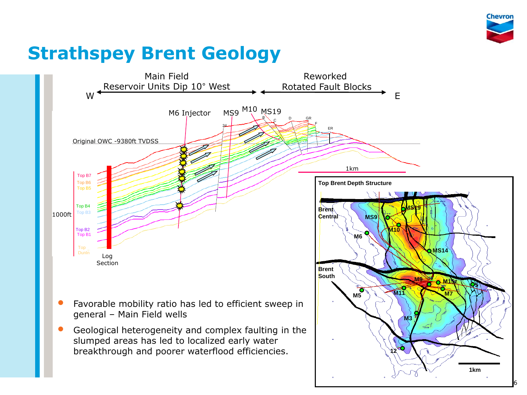

## **Strathspey Brent Geology**

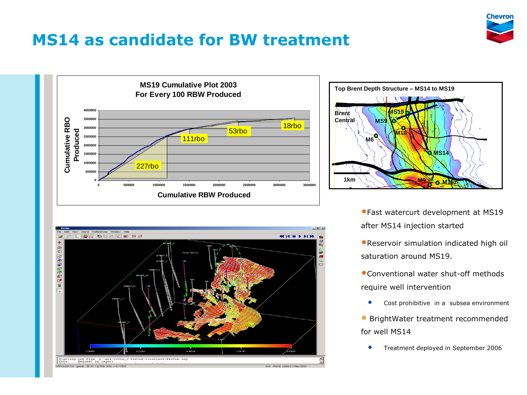

#### **MS14 as candidate for BW treatment**







•Fast watercurt development at MS19 after MS14 injection started

•Reservoir simulation indicated high oil saturation around MS19.

•Conventional water shut-off methods require well intervention

• Cost prohibitive in a subsea environment

• BrightWater treatment recommended for well MS14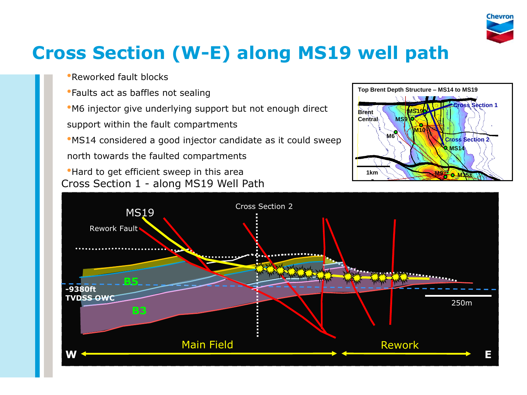

# **Cross Section (W-E) along MS19 well path**

- •Reworked fault blocks
- •Faults act as baffles not sealing
- •M6 injector give underlying support but not enough direct
- support within the fault compartments
- •MS14 considered a good injector candidate as it could sweep north towards the faulted compartments
- Cross Section 1 along MS19 Well Path •Hard to get efficient sweep in this area



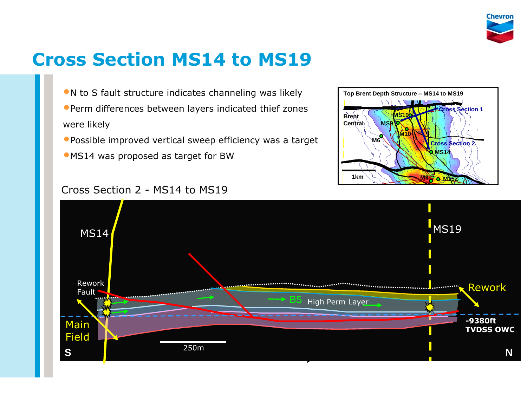

## **Cross Section MS14 to MS19**

•N to S fault structure indicates channeling was likely •Perm differences between layers indicated thief zones

were likely

- •Possible improved vertical sweep efficiency was a target
- •MS14 was proposed as target for BW



#### Cross Section 2 - MS14 to MS19

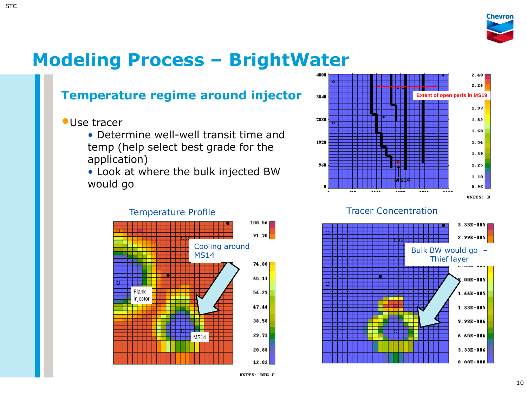

#### **Modeling Process – BrightWater**

#### **Temperature regime around injector**

#### •Use tracer

- Determine well-well transit time and temp (help select best grade for the application)
- Look at where the bulk injected BW would go





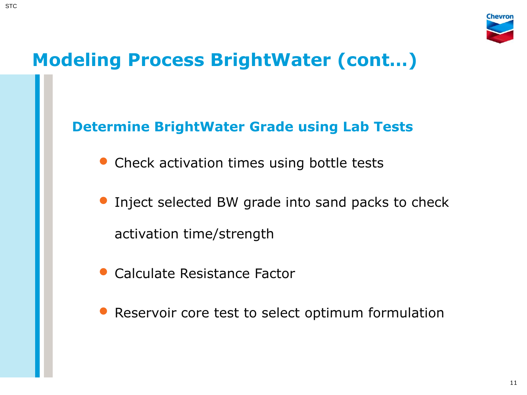

# **Modeling Process BrightWater (cont…)**

#### **Determine BrightWater Grade using Lab Tests**

- Check activation times using bottle tests
- Inject selected BW grade into sand packs to check activation time/strength
- Calculate Resistance Factor
- Reservoir core test to select optimum formulation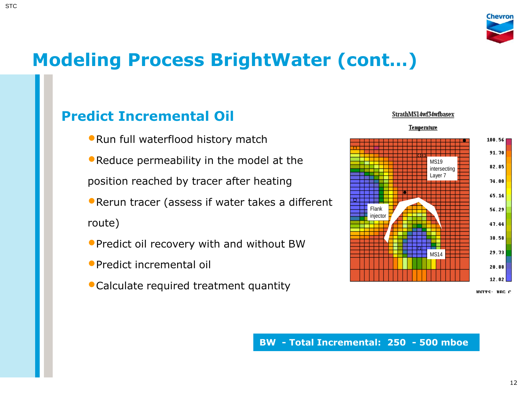

## **Modeling Process BrightWater (cont…)**

#### **Predict Incremental Oil**

- •Run full waterflood history match
- •Reduce permeability in the model at the position reached by tracer after heating
- •Rerun tracer (assess if water takes a different route)
- •Predict oil recovery with and without BW
- •Predict incremental oil
- •Calculate required treatment quantity



INTES: BEC C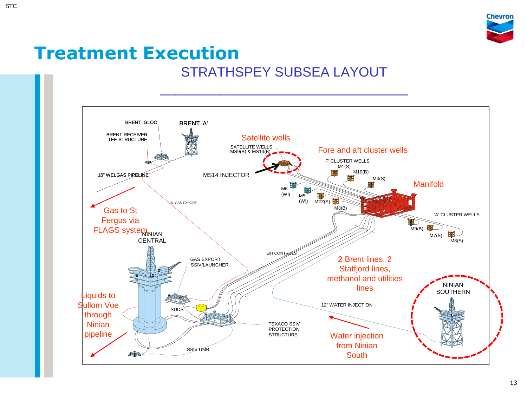

#### **Treatment Execution** STRATHSPEY SUBSEA LAYOUT

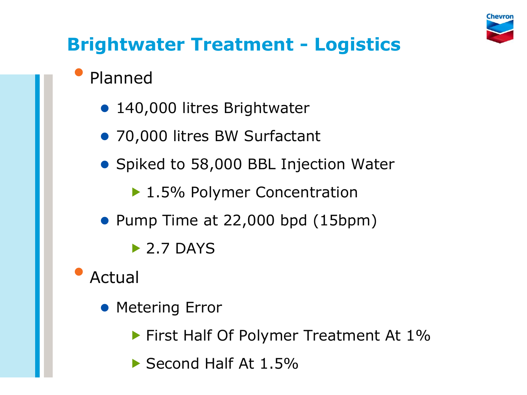

# **Brightwater Treatment - Logistics**

## • Planned

- 140,000 litres Brightwater
- 70,000 litres BW Surfactant
- Spiked to 58,000 BBL Injection Water
	- ▶ 1.5% Polymer Concentration
- Pump Time at 22,000 bpd (15bpm)
	- $\triangleright$  2.7 DAYS
- **Actual** 
	- **Metering Error** 
		- **First Half Of Polymer Treatment At 1%**
		- Second Half At 1.5%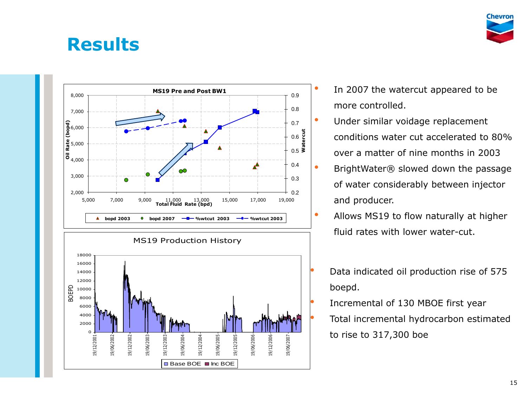#### **Results**





- In 2007 the watercut appeared to be more controlled.
- Under similar voidage replacement conditions water cut accelerated to 80% over a matter of nine months in 2003
	- BrightWater® slowed down the passage of water considerably between injector and producer.
- Allows MS19 to flow naturally at higher fluid rates with lower water-cut.
	- Data indicated oil production rise of 575 boepd.
	- Incremental of 130 MBOE first year
	- Total incremental hydrocarbon estimated to rise to 317,300 boe

Chevror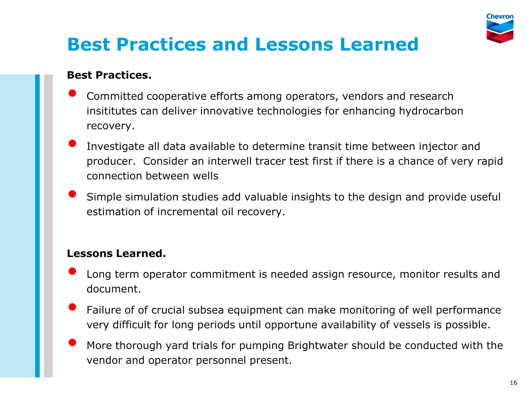

# **Best Practices and Lessons Learned**

#### **Best Practices.**

- Committed cooperative efforts among operators, vendors and research insititutes can deliver innovative technologies for enhancing hydrocarbon recovery.
- Investigate all data available to determine transit time between injector and producer. Consider an interwell tracer test first if there is a chance of very rapid connection between wells
- Simple simulation studies add valuable insights to the design and provide useful estimation of incremental oil recovery.

#### **Lessons Learned.**

- Long term operator commitment is needed assign resource, monitor results and document.
- Failure of of crucial subsea equipment can make monitoring of well performance very difficult for long periods until opportune availability of vessels is possible.
- More thorough yard trials for pumping Brightwater should be conducted with the vendor and operator personnel present.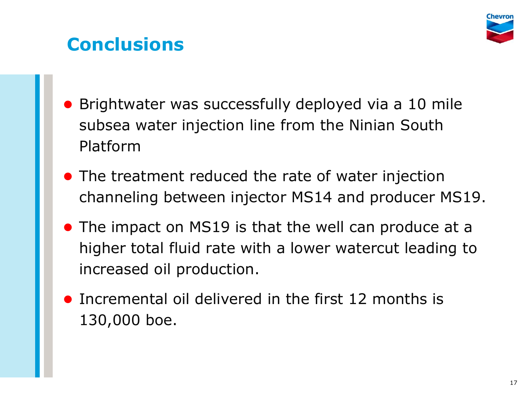

## **Conclusions**

- Brightwater was successfully deployed via a 10 mile subsea water injection line from the Ninian South Platform
- The treatment reduced the rate of water injection channeling between injector MS14 and producer MS19.
- The impact on MS19 is that the well can produce at a higher total fluid rate with a lower watercut leading to increased oil production.
- Incremental oil delivered in the first 12 months is 130,000 boe.